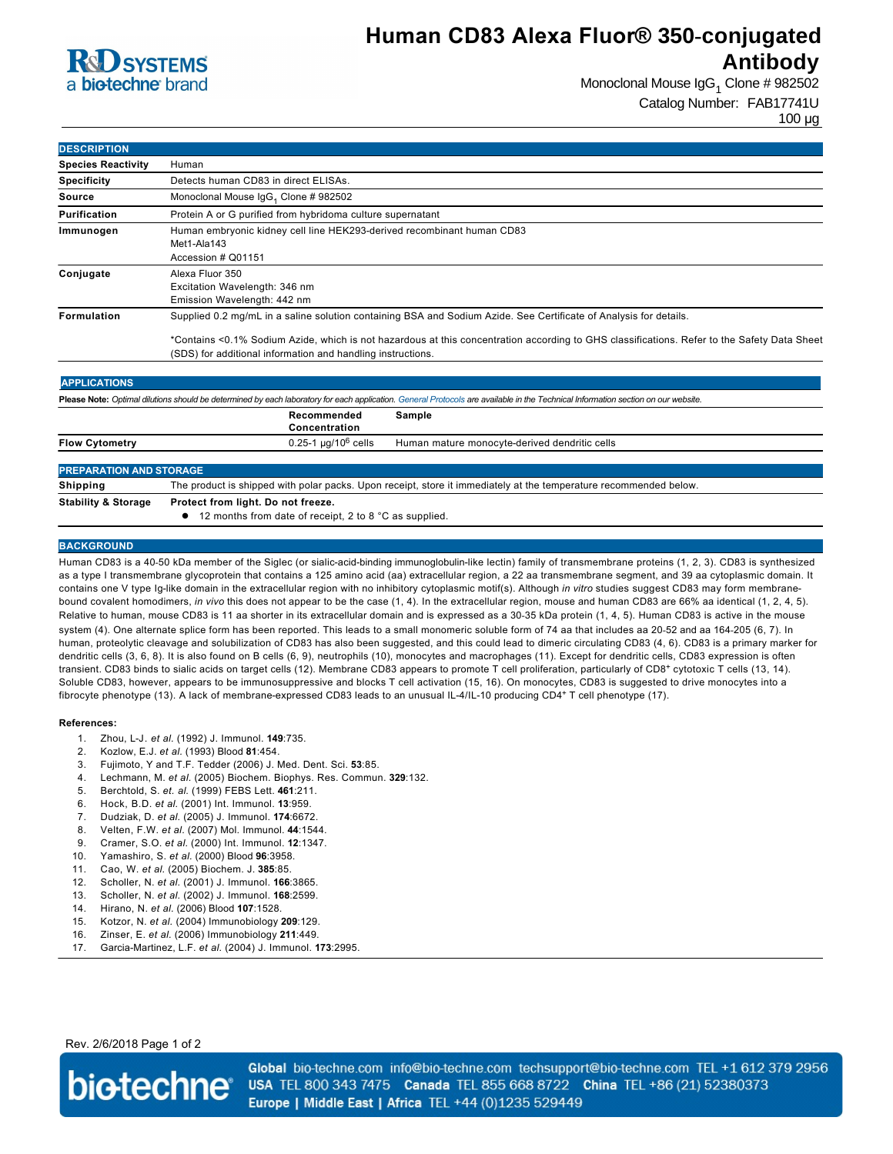## **R**CO SYSTEMS a **bio-techne** brand

## **Human CD83 Alexa Fluor® 350-conjugated Antibody**

Monoclonal Mouse IgG<sub>1</sub> Clone # 982502 Catalog Number: FAB17741U

100 µg

| <b>DESCRIPTION</b>        |                                                                                                                                             |  |
|---------------------------|---------------------------------------------------------------------------------------------------------------------------------------------|--|
| <b>Species Reactivity</b> | Human                                                                                                                                       |  |
| <b>Specificity</b>        | Detects human CD83 in direct ELISAs.                                                                                                        |  |
| Source                    | Monoclonal Mouse IgG <sub>1</sub> Clone # 982502                                                                                            |  |
| <b>Purification</b>       | Protein A or G purified from hybridoma culture supernatant                                                                                  |  |
| Immunogen                 | Human embryonic kidney cell line HEK293-derived recombinant human CD83<br>Met1-Ala143<br>Accession # Q01151                                 |  |
| Conjugate                 | Alexa Fluor 350<br>Excitation Wavelength: 346 nm<br>Emission Wavelength: 442 nm                                                             |  |
| Formulation               | Supplied 0.2 mg/mL in a saline solution containing BSA and Sodium Azide. See Certificate of Analysis for details.                           |  |
|                           | *Contains <0.1% Sodium Azide, which is not bazardous at this concentration according to GHS classifications. Refer to the Safety Data Sheet |  |

s at this concentration according to GHS classifications. Refer to the Safety Data S (SDS) for additional information and handling instructions.

| <b>APPLICATIONS</b>                                                                                                                                                               |                                                                                                                   |                                               |  |
|-----------------------------------------------------------------------------------------------------------------------------------------------------------------------------------|-------------------------------------------------------------------------------------------------------------------|-----------------------------------------------|--|
| Please Note: Optimal dilutions should be determined by each laboratory for each application. General Protocols are available in the Technical Information section on our website. |                                                                                                                   |                                               |  |
|                                                                                                                                                                                   | Recommended<br>Concentration                                                                                      | Sample                                        |  |
| <b>Flow Cytometry</b>                                                                                                                                                             | $0.25 - 1 \mu q / 10^6$ cells                                                                                     | Human mature monocyte-derived dendritic cells |  |
|                                                                                                                                                                                   |                                                                                                                   |                                               |  |
| <b>PREPARATION AND STORAGE</b>                                                                                                                                                    |                                                                                                                   |                                               |  |
| <b>Shipping</b>                                                                                                                                                                   | The product is shipped with polar packs. Upon receipt, store it immediately at the temperature recommended below. |                                               |  |
| <b>Stability &amp; Storage</b>                                                                                                                                                    | Protect from light. Do not freeze.                                                                                |                                               |  |
|                                                                                                                                                                                   | 12 months from date of receipt, 2 to 8 °C as supplied.                                                            |                                               |  |

### **BACKGROUND**

Human CD83 is a 40-50 kDa member of the Siglec (or sialic-acid-binding immunoglobulin-like lectin) family of transmembrane proteins (1, 2, 3). CD83 is synthesized as a type I transmembrane glycoprotein that contains a 125 amino acid (aa) extracellular region, a 22 aa transmembrane segment, and 39 aa cytoplasmic domain. It contains one V type Ig-like domain in the extracellular region with no inhibitory cytoplasmic motif(s). Although *in vitro* studies suggest CD83 may form membranebound covalent homodimers, *in vivo* this does not appear to be the case (1, 4). In the extracellular region, mouse and human CD83 are 66% aa identical (1, 2, 4, 5). Relative to human, mouse CD83 is 11 aa shorter in its extracellular domain and is expressed as a 30-35 kDa protein (1, 4, 5). Human CD83 is active in the mouse system (4). One alternate splice form has been reported. This leads to a small monomeric soluble form of 74 aa that includes aa 2052 and aa 164205 (6, 7). In human, proteolytic cleavage and solubilization of CD83 has also been suggested, and this could lead to dimeric circulating CD83 (4, 6). CD83 is a primary marker for dendritic cells (3, 6, 8). It is also found on B cells (6, 9), neutrophils (10), monocytes and macrophages (11). Except for dendritic cells, CD83 expression is often transient. CD83 binds to sialic acids on target cells (12). Membrane CD83 appears to promote T cell proliferation, particularly of CD8+ cytotoxic T cells (13, 14). Soluble CD83, however, appears to be immunosuppressive and blocks T cell activation (15, 16). On monocytes, CD83 is suggested to drive monocytes into a fibrocyte phenotype (13). A lack of membrane-expressed CD83 leads to an unusual IL-4/IL-10 producing CD4+ T cell phenotype (17).

#### **References:**

- 1. Zhou, LJ. *et al.* (1992) J. Immunol. **149**:735.
- 2. Kozlow, E.J. *et al.* (1993) Blood **81**:454.
- 3. Fujimoto, Y and T.F. Tedder (2006) J. Med. Dent. Sci. **53**:85.
- 4. Lechmann, M. *et al.* (2005) Biochem. Biophys. Res. Commun. **329**:132.
- 5. Berchtold, S. *et. al*. (1999) FEBS Lett. **461**:211.
- 6. Hock, B.D. *et al.* (2001) Int. Immunol. **13**:959.
- 7. Dudziak, D. *et al.* (2005) J. Immunol. **174**:6672.
- 8. Velten, F.W. *et al.* (2007) Mol. Immunol. **44**:1544.
- 9. Cramer, S.O. *et al.* (2000) Int. Immunol. **12**:1347.
- 10. Yamashiro, S. *et al.* (2000) Blood **96**:3958.
- 11. Cao, W. *et al.* (2005) Biochem. J. **385**:85.
- 12. Scholler, N. *et al.* (2001) J. Immunol. **166**:3865.
- 13. Scholler, N. *et al.* (2002) J. Immunol. **168**:2599.
- 14. Hirano, N. *et al.* (2006) Blood **107**:1528.
- 15. Kotzor, N. *et al.* (2004) Immunobiology **209**:129.
- 16. Zinser, E. *et al.* (2006) Immunobiology **211**:449.
- 17. Garcia-Martinez, L.F. et al. (2004) J. Immunol. 173:2995.

Rev. 2/6/2018 Page 1 of 2



Global bio-techne.com info@bio-techne.com techsupport@bio-techne.com TEL +1 612 379 2956 USA TEL 800 343 7475 Canada TEL 855 668 8722 China TEL +86 (21) 52380373 Europe | Middle East | Africa TEL +44 (0)1235 529449